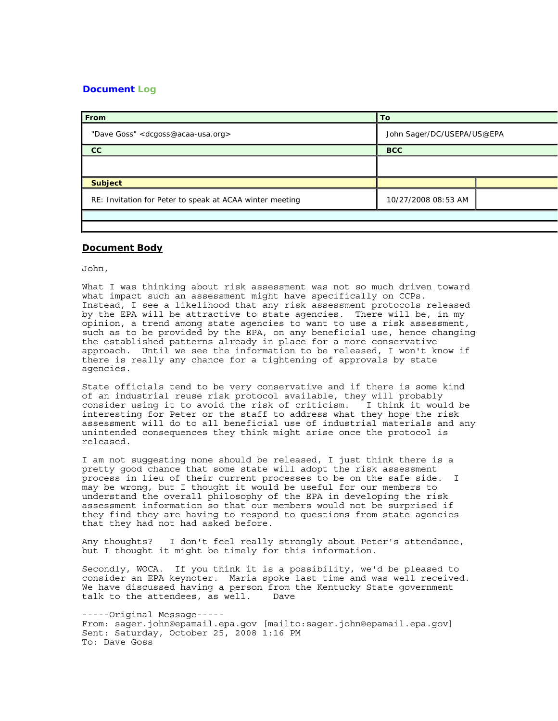## **Document Log**

| From                                                     | To                         |  |
|----------------------------------------------------------|----------------------------|--|
| "Dave Goss" < dcgoss@acaa-usa.org>                       | John Sager/DC/USEPA/US@EPA |  |
| cc                                                       | <b>BCC</b>                 |  |
|                                                          |                            |  |
| <b>Subject</b>                                           |                            |  |
| RE: Invitation for Peter to speak at ACAA winter meeting | 10/27/2008 08:53 AM        |  |
|                                                          |                            |  |

## **Document Body**

John,

What I was thinking about risk assessment was not so much driven toward what impact such an assessment might have specifically on CCPs. Instead, I see a likelihood that any risk assessment protocols released by the EPA will be attractive to state agencies. There will be, in my opinion, a trend among state agencies to want to use a risk assessment, such as to be provided by the EPA, on any beneficial use, hence changing the established patterns already in place for a more conservative approach. Until we see the information to be released, I won't know if there is really any chance for a tightening of approvals by state agencies.

State officials tend to be very conservative and if there is some kind of an industrial reuse risk protocol available, they will probably consider using it to avoid the risk of criticism. I think it would be interesting for Peter or the staff to address what they hope the risk assessment will do to all beneficial use of industrial materials and any unintended consequences they think might arise once the protocol is released.

I am not suggesting none should be released, I just think there is a pretty good chance that some state will adopt the risk assessment process in lieu of their current processes to be on the safe side. I may be wrong, but I thought it would be useful for our members to understand the overall philosophy of the EPA in developing the risk assessment information so that our members would not be surprised if they find they are having to respond to questions from state agencies that they had not had asked before.

Any thoughts? I don't feel really strongly about Peter's attendance, but I thought it might be timely for this information.

Secondly, WOCA. If you think it is a possibility, we'd be pleased to consider an EPA keynoter. Maria spoke last time and was well received. We have discussed having a person from the Kentucky State government talk to the attendees, as well. Dave

-----Original Message----- From: sager.john@epamail.epa.gov [mailto:sager.john@epamail.epa.gov] Sent: Saturday, October 25, 2008 1:16 PM To: Dave Goss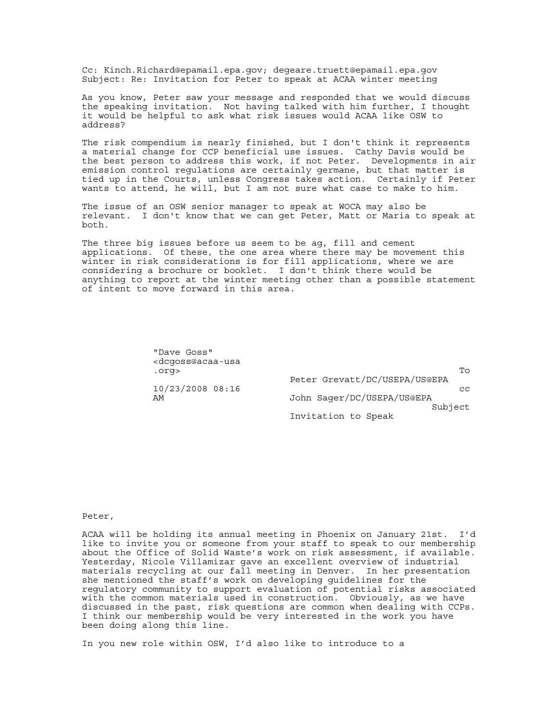Cc: Kinch.Richard@epamail.epa.gov; degeare.truett@epamail.epa.gov Subject: Re: Invitation for Peter to speak at ACAA winter meeting

As you know, Peter saw your message and responded that we would discuss the speaking invitation. Not having talked with him further, I thought it would be helpful to ask what risk issues would ACAA like OSW to address?

The risk compendium is nearly finished, but I don't think it represents a material change for CCP beneficial use issues. Cathy Davis would be the best person to address this work, if not Peter. Developments in air emission control regulations are certainly germane, but that matter is tied up in the Courts, unless Congress takes action. Certainly if Peter wants to attend, he will, but I am not sure what case to make to him.

The issue of an OSW senior manager to speak at WOCA may also be relevant. I don't know that we can get Peter, Matt or Maria to speak at both.

The three big issues before us seem to be ag, fill and cement applications. Of these, the one area where there may be movement this winter in risk considerations is for fill applications, where we are considering a brochure or booklet. I don't think there would be anything to report at the winter meeting other than a possible statement of intent to move forward in this area.

| "Dave Goss"<br><dcqoss@acaa-usa< th=""><th></th></dcqoss@acaa-usa<> |                               |
|---------------------------------------------------------------------|-------------------------------|
| .org>                                                               | Tο                            |
|                                                                     | Peter Grevatt/DC/USEPA/US@EPA |
| $10/23/2008$ 08:16                                                  | CC                            |
| AΜ                                                                  | John Sager/DC/USEPA/US@EPA    |
|                                                                     | Subject                       |
|                                                                     | Invitation to Speak           |

Peter,

ACAA will be holding its annual meeting in Phoenix on January 21st. I'd like to invite you or someone from your staff to speak to our membership about the Office of Solid Waste's work on risk assessment, if available. Yesterday, Nicole Villamizar gave an excellent overview of industrial materials recycling at our fall meeting in Denver. In her presentation she mentioned the staff's work on developing guidelines for the regulatory community to support evaluation of potential risks associated with the common materials used in construction. Obviously, as we have discussed in the past, risk questions are common when dealing with CCPs. I think our membership would be very interested in the work you have been doing along this line.

In you new role within OSW, I'd also like to introduce to a